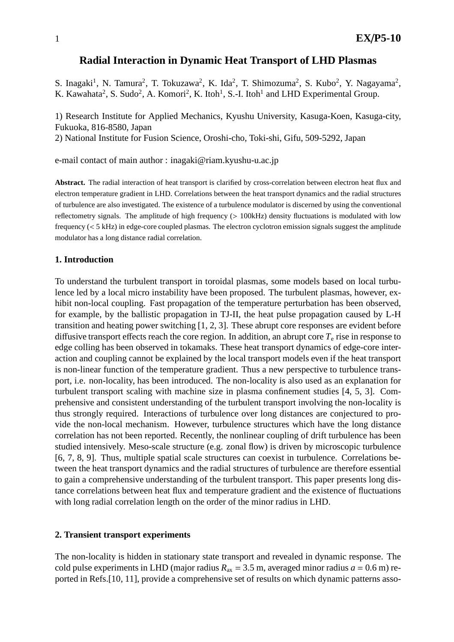# **Radial Interaction in Dynamic Heat Transport of LHD Plasmas**

S. Inagaki<sup>1</sup>, N. Tamura<sup>2</sup>, T. Tokuzawa<sup>2</sup>, K. Ida<sup>2</sup>, T. Shimozuma<sup>2</sup>, S. Kubo<sup>2</sup>, Y. Nagayama<sup>2</sup>, K. Kawahata<sup>2</sup>, S. Sudo<sup>2</sup>, A. Komori<sup>2</sup>, K. Itoh<sup>1</sup>, S.-I. Itoh<sup>1</sup> and LHD Experimental Group.

1) Research Institute for Applied Mechanics, Kyushu University, Kasuga-Koen, Kasuga-city, Fukuoka, 816-8580, Japan

2) National Institute for Fusion Science, Oroshi-cho, Toki-shi, Gifu, 509-5292, Japan

e-mail contact of main author : inagaki@riam.kyushu-u.ac.jp

**Abstract.** The radial interaction of heat transport is clarified by cross-correlation between electron heat flux and electron temperature gradient in LHD. Correlations between the heat transport dynamics and the radial structures of turbulence are also investigated. The existence of a turbulence modulator is discerned by using the conventional reflectometry signals. The amplitude of high frequency (> 100kHz) density fluctuations is modulated with low frequency (< 5 kHz) in edge-core coupled plasmas. The electron cyclotron emission signals suggest the amplitude modulator has a long distance radial correlation.

## **1. Introduction**

To understand the turbulent transport in toroidal plasmas, some models based on local turbulence led by a local micro instability have been proposed. The turbulent plasmas, however, exhibit non-local coupling. Fast propagation of the temperature perturbation has been observed, for example, by the ballistic propagation in TJ-II, the heat pulse propagation caused by L-H transition and heating power switching [1, 2, 3]. These abrupt core responses are evident before diffusive transport effects reach the core region. In addition, an abrupt core  $T<sub>e</sub>$  rise in response to edge colling has been observed in tokamaks. These heat transport dynamics of edge-core interaction and coupling cannot be explained by the local transport models even if the heat transport is non-linear function of the temperature gradient. Thus a new perspective to turbulence transport, i.e. non-locality, has been introduced. The non-locality is also used as an explanation for turbulent transport scaling with machine size in plasma confinement studies [4, 5, 3]. Comprehensive and consistent understanding of the turbulent transport involving the non-locality is thus strongly required. Interactions of turbulence over long distances are conjectured to provide the non-local mechanism. However, turbulence structures which have the long distance correlation has not been reported. Recently, the nonlinear coupling of drift turbulence has been studied intensively. Meso-scale structure (e.g. zonal flow) is driven by microscopic turbulence [6, 7, 8, 9]. Thus, multiple spatial scale structures can coexist in turbulence. Correlations between the heat transport dynamics and the radial structures of turbulence are therefore essential to gain a comprehensive understanding of the turbulent transport. This paper presents long distance correlations between heat flux and temperature gradient and the existence of fluctuations with long radial correlation length on the order of the minor radius in LHD.

#### **2. Transient transport experiments**

The non-locality is hidden in stationary state transport and revealed in dynamic response. The cold pulse experiments in LHD (major radius  $R_{ax} = 3.5$  m, averaged minor radius  $a = 0.6$  m) reported in Refs.[10, 11], provide a comprehensive set of results on which dynamic patterns asso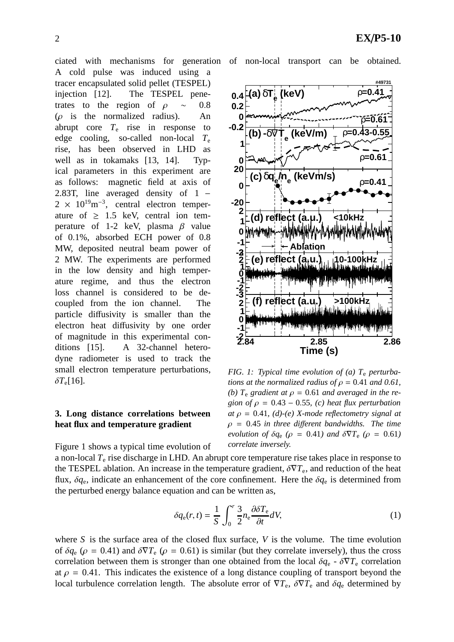A cold pulse was induced using a tracer encapsulated solid pellet (TESPEL) injection [12]. The TESPEL penetrates to the region of  $\rho \sim 0.8$  $(\rho$  is the normalized radius). An abrupt core  $T_e$  rise in response to edge cooling, so-called non-local  $T_e$ rise, has been observed in LHD as well as in tokamaks [13, 14]. Typical parameters in this experiment are as follows: magnetic field at axis of 2.83T, line averaged density of 1 −  $2 \times 10^{19} \text{m}^{-3}$ , central electron temperature of  $\geq 1.5$  keV, central ion temperature of 1-2 keV, plasma  $\beta$  value of 0.1%, absorbed ECH power of 0.8 MW, deposited neutral beam power of 2 MW. The experiments are performed in the low density and high temperature regime, and thus the electron loss channel is considered to be decoupled from the ion channel. The particle diffusivity is smaller than the electron heat diffusivity by one order of magnitude in this experimental conditions [15]. A 32-channel heterodyne radiometer is used to track the small electron temperature perturbations,  $δT_e[16]$ .

# **3. Long distance correlations between heat flux and temperature gradient**



*FIG. 1: Typical time evolution of (a) T*<sup>e</sup> *perturbations at the normalized radius of*  $\rho = 0.41$  *and* 0.61, (b)  $T_e$  *gradient at*  $\rho = 0.61$  *and averaged in the region of*  $\rho = 0.43 - 0.55$ , (c) heat flux perturbation *at* ρ = 0.41*, (d)-(e) X-mode reflectometry signal at*  $\rho = 0.45$  *in three different bandwidths. The time evolution of*  $\delta q_e$  ( $\rho = 0.41$ *) and*  $\delta \nabla T_e$  ( $\rho = 0.61$ *) correlate inversely.*

Figure 1 shows a typical time evolution of

a non-local *T*<sup>e</sup> rise discharge in LHD. An abrupt core temperature rise takes place in response to the TESPEL ablation. An increase in the temperature gradient,  $\delta \nabla T_e$ , and reduction of the heat flux,  $\delta q_e$ , indicate an enhancement of the core confinement. Here the  $\delta q_e$  is determined from the perturbed energy balance equation and can be written as,

$$
\delta q_{\rm e}(r,t) = \frac{1}{S} \int_0^r \frac{3}{2} n_{\rm e} \frac{\partial \delta T_{\rm e}}{\partial t} dV,\tag{1}
$$

where *S* is the surface area of the closed flux surface, *V* is the volume. The time evolution of  $\delta q_e$  ( $\rho = 0.41$ ) and  $\delta \nabla T_e$  ( $\rho = 0.61$ ) is similar (but they correlate inversely), thus the cross correlation between them is stronger than one obtained from the local  $\delta q_e$  -  $\delta \nabla T_e$  correlation at  $\rho = 0.41$ . This indicates the existence of a long distance coupling of transport beyond the local turbulence correlation length. The absolute error of  $\nabla T_e$ ,  $\delta \nabla T_e$  and  $\delta q_e$  determined by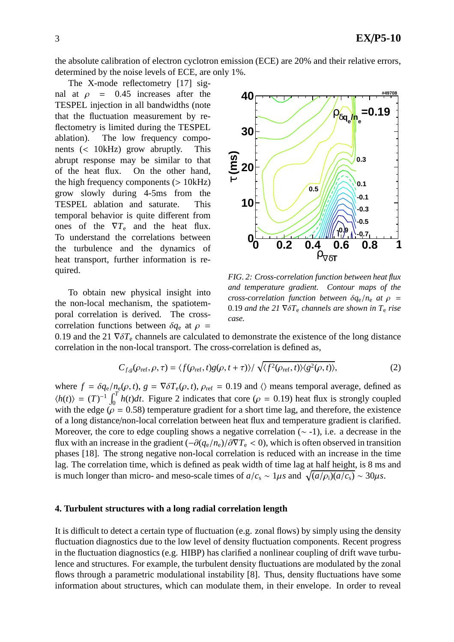the absolute calibration of electron cyclotron emission (ECE) are 20% and their relative errors, determined by the noise levels of ECE, are only 1%.

The X-mode reflectometry [17] signal at  $\rho = 0.45$  increases after the TESPEL injection in all bandwidths (note that the fluctuation measurement by reflectometry is limited during the TESPEL ablation). The low frequency components (< 10kHz) grow abruptly. This abrupt response may be similar to that of the heat flux. On the other hand, the high frequency components  $(> 10kHz)$ grow slowly during 4-5ms from the TESPEL ablation and saturate. This temporal behavior is quite different from ones of the  $\nabla T_e$  and the heat flux. To understand the correlations between the turbulence and the dynamics of heat transport, further information is required.

To obtain new physical insight into the non-local mechanism, the spatiotemporal correlation is derived. The crosscorrelation functions between  $\delta q_e$  at  $\rho$  =



*FIG. 2: Cross-correlation function between heat flux and temperature gradient. Contour maps of the cross-correlation function between*  $\delta q_e / n_e$  *at*  $\rho$  = 0.19 *and the 21*  $\nabla \delta T_e$  *channels are shown in*  $T_e$  *rise case.*

0.19 and the 21  $\nabla \delta T_e$  channels are calculated to demonstrate the existence of the long distance correlation in the non-local transport. The cross-correlation is defined as,

$$
C_{f,g}(\rho_{\text{ref}}, \rho, \tau) = \langle f(\rho_{\text{ref}}, t)g(\rho, t + \tau) \rangle / \sqrt{\langle f^2(\rho_{\text{ref}}, t) \rangle \langle g^2(\rho, t) \rangle},\tag{2}
$$

where  $f = \delta q_e / n_e(\rho, t)$ ,  $g = \nabla \delta T_e(\rho, t)$ ,  $\rho_{ref} = 0.19$  and  $\langle \rangle$  means temporal average, defined as  $\langle h(t) \rangle = (T)^{-1} \int_0^T h(t) dt$ . Figure 2 indicates that core ( $\rho = 0.19$ ) heat flux is strongly coupled with the edge ( $\rho = 0.58$ ) temperature gradient for a short time lag, and therefore, the existence of a long distance/non-local correlation between heat flux and temperature gradient is clarified. Moreover, the core to edge coupling shows a negative correlation  $(\sim -1)$ , i.e. a decrease in the flux with an increase in the gradient  $(-\partial(q_e/n_e)/\partial \nabla T_e < 0)$ , which is often observed in transition phases [18]. The strong negative non-local correlation is reduced with an increase in the time lag. The correlation time, which is defined as peak width of time lag at half height, is 8 ms and is much longer than micro- and meso-scale times of  $a/c_s \sim 1 \mu s$  and  $\sqrt{(a/\rho_i)(a/c_s)} \sim 30 \mu s$ .

## **4. Turbulent structures with a long radial correlation length**

It is difficult to detect a certain type of fluctuation (e.g. zonal flows) by simply using the density fluctuation diagnostics due to the low level of density fluctuation components. Recent progress in the fluctuation diagnostics (e.g. HIBP) has clarified a nonlinear coupling of drift wave turbulence and structures. For example, the turbulent density fluctuations are modulated by the zonal flows through a parametric modulational instability [8]. Thus, density fluctuations have some information about structures, which can modulate them, in their envelope. In order to reveal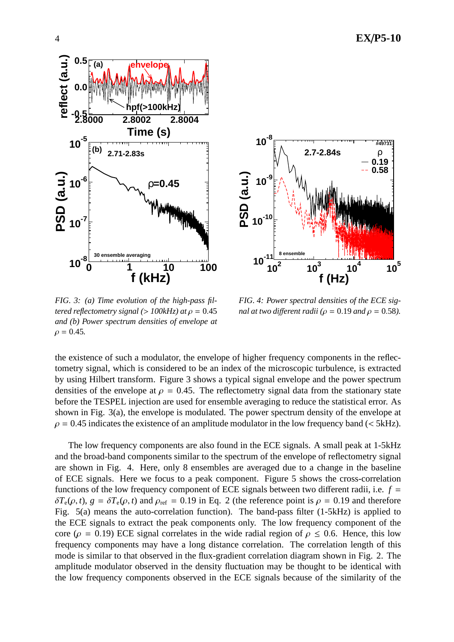

*FIG. 3: (a) Time evolution of the high-pass filtered reflectometry signal (>*  $100kHz$ *) at*  $\rho = 0.45$ *and (b) Power spectrum densities of envelope at*  $\rho = 0.45$ .

*FIG. 4: Power spectral densities of the ECE signal at two different radii* ( $\rho = 0.19$  *and*  $\rho = 0.58$ ).

the existence of such a modulator, the envelope of higher frequency components in the reflectometry signal, which is considered to be an index of the microscopic turbulence, is extracted by using Hilbert transform. Figure 3 shows a typical signal envelope and the power spectrum densities of the envelope at  $\rho = 0.45$ . The reflectometry signal data from the stationary state before the TESPEL injection are used for ensemble averaging to reduce the statistical error. As shown in Fig. 3(a), the envelope is modulated. The power spectrum density of the envelope at  $\rho = 0.45$  indicates the existence of an amplitude modulator in the low frequency band (< 5kHz).

The low frequency components are also found in the ECE signals. A small peak at 1-5kHz and the broad-band components similar to the spectrum of the envelope of reflectometry signal are shown in Fig. 4. Here, only 8 ensembles are averaged due to a change in the baseline of ECE signals. Here we focus to a peak component. Figure 5 shows the cross-correlation functions of the low frequency component of ECE signals between two different radii, i.e.  $f =$  $\delta T_e(\rho, t)$ ,  $g = \delta T_e(\rho, t)$  and  $\rho_{ref} = 0.19$  in Eq. 2 (the reference point is  $\rho = 0.19$  and therefore Fig. 5(a) means the auto-correlation function). The band-pass filter (1-5kHz) is applied to the ECE signals to extract the peak components only. The low frequency component of the core ( $\rho = 0.19$ ) ECE signal correlates in the wide radial region of  $\rho \le 0.6$ . Hence, this low frequency components may have a long distance correlation. The correlation length of this mode is similar to that observed in the flux-gradient correlation diagram shown in Fig. 2. The amplitude modulator observed in the density fluctuation may be thought to be identical with the low frequency components observed in the ECE signals because of the similarity of the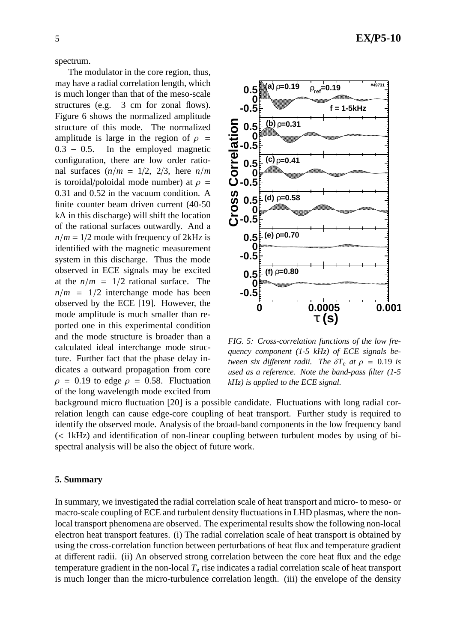spectrum.

The modulator in the core region, thus, may have a radial correlation length, which is much longer than that of the meso-scale structures (e.g. 3 cm for zonal flows). Figure 6 shows the normalized amplitude structure of this mode. The normalized amplitude is large in the region of  $\rho =$ 0.3 – 0.5. In the employed magnetic configuration, there are low order rational surfaces  $(n/m = 1/2, 2/3, \text{ here } n/m$ is toroidal/poloidal mode number) at  $\rho =$ 0.31 and 0.52 in the vacuum condition. A finite counter beam driven current (40-50 kA in this discharge) will shift the location of the rational surfaces outwardly. And a  $n/m = 1/2$  mode with frequency of 2kHz is identified with the magnetic measurement system in this discharge. Thus the mode observed in ECE signals may be excited at the  $n/m = 1/2$  rational surface. The  $n/m = 1/2$  interchange mode has been observed by the ECE [19]. However, the mode amplitude is much smaller than reported one in this experimental condition and the mode structure is broader than a calculated ideal interchange mode structure. Further fact that the phase delay indicates a outward propagation from core  $\rho = 0.19$  to edge  $\rho = 0.58$ . Fluctuation of the long wavelength mode excited from



*FIG. 5: Cross-correlation functions of the low frequency component (1-5 kHz) of ECE signals between six different radii. The*  $\delta T_e$  *at*  $\rho = 0.19$  *is used as a reference. Note the band-pass filter (1-5 kHz) is applied to the ECE signal.*

background micro fluctuation [20] is a possible candidate. Fluctuations with long radial correlation length can cause edge-core coupling of heat transport. Further study is required to identify the observed mode. Analysis of the broad-band components in the low frequency band (< 1kHz) and identification of non-linear coupling between turbulent modes by using of bispectral analysis will be also the object of future work.

#### **5. Summary**

In summary, we investigated the radial correlation scale of heat transport and micro- to meso- or macro-scale coupling of ECE and turbulent density fluctuations in LHD plasmas, where the nonlocal transport phenomena are observed. The experimental results show the following non-local electron heat transport features. (i) The radial correlation scale of heat transport is obtained by using the cross-correlation function between perturbations of heat flux and temperature gradient at different radii. (ii) An observed strong correlation between the core heat flux and the edge temperature gradient in the non-local  $T<sub>e</sub>$  rise indicates a radial correlation scale of heat transport is much longer than the micro-turbulence correlation length. (iii) the envelope of the density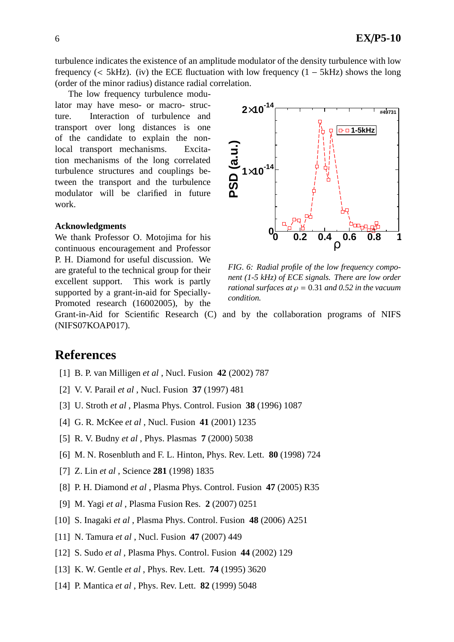turbulence indicates the existence of an amplitude modulator of the density turbulence with low frequency (< 5kHz). (iv) the ECE fluctuation with low frequency  $(1 - 5kHz)$  shows the long (order of the minor radius) distance radial correlation.

The low frequency turbulence modulator may have meso- or macro- structure. Interaction of turbulence and transport over long distances is one of the candidate to explain the nonlocal transport mechanisms. Excitation mechanisms of the long correlated turbulence structures and couplings between the transport and the turbulence modulator will be clarified in future work.

#### **Acknowledgments**

We thank Professor O. Motojima for his continuous encouragement and Professor P. H. Diamond for useful discussion. We are grateful to the technical group for their excellent support. This work is partly supported by a grant-in-aid for Specially-Promoted research (16002005), by the



*FIG. 6: Radial profile of the low frequency component (1-5 kHz) of ECE signals. There are low order rational surfaces at*  $\rho = 0.31$  *and* 0.52 *in the vacuum condition.*

Grant-in-Aid for Scientific Research (C) and by the collaboration programs of NIFS (NIFS07KOAP017).

# **References**

- [1] B. P. van Milligen *et al* , Nucl. Fusion **42** (2002) 787
- [2] V. V. Parail *et al* , Nucl. Fusion **37** (1997) 481
- [3] U. Stroth *et al* , Plasma Phys. Control. Fusion **38** (1996) 1087
- [4] G. R. McKee *et al* , Nucl. Fusion **41** (2001) 1235
- [5] R. V. Budny *et al* , Phys. Plasmas **7** (2000) 5038
- [6] M. N. Rosenbluth and F. L. Hinton, Phys. Rev. Lett. **80** (1998) 724
- [7] Z. Lin *et al* , Science **281** (1998) 1835
- [8] P. H. Diamond *et al* , Plasma Phys. Control. Fusion **47** (2005) R35
- [9] M. Yagi *et al* , Plasma Fusion Res. **2** (2007) 0251
- [10] S. Inagaki *et al* , Plasma Phys. Control. Fusion **48** (2006) A251
- [11] N. Tamura *et al* , Nucl. Fusion **47** (2007) 449
- [12] S. Sudo *et al* , Plasma Phys. Control. Fusion **44** (2002) 129
- [13] K. W. Gentle *et al* , Phys. Rev. Lett. **74** (1995) 3620
- [14] P. Mantica *et al* , Phys. Rev. Lett. **82** (1999) 5048